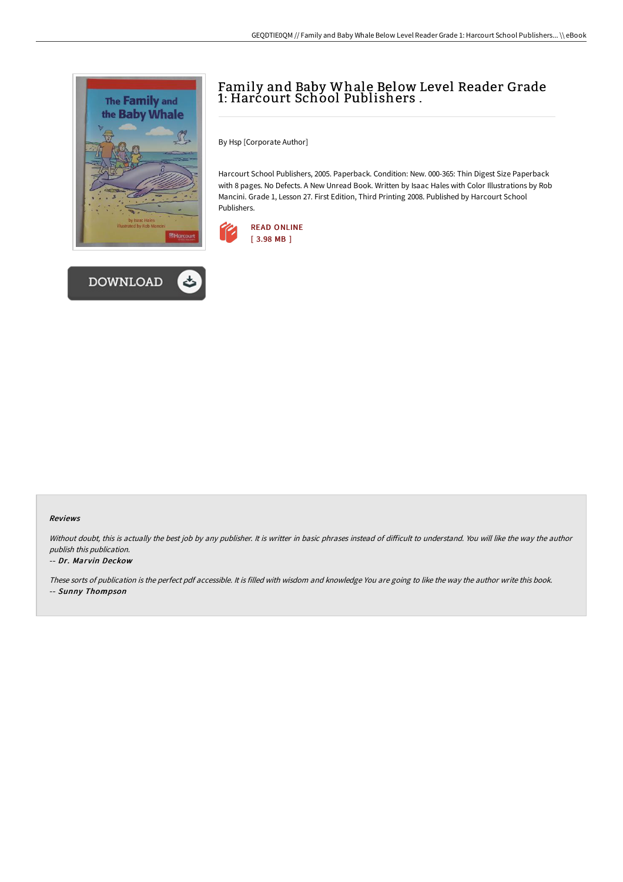



# Family and Baby Whale Below Level Reader Grade 1: Harcourt School Publishers .

By Hsp [Corporate Author]

Harcourt School Publishers, 2005. Paperback. Condition: New. 000-365: Thin Digest Size Paperback with 8 pages. No Defects. A New Unread Book. Written by Isaac Hales with Color Illustrations by Rob Mancini. Grade 1, Lesson 27. First Edition, Third Printing 2008. Published by Harcourt School Publishers.



#### Reviews

Without doubt, this is actually the best job by any publisher. It is writter in basic phrases instead of difficult to understand. You will like the way the author publish this publication.

#### -- Dr. Marvin Deckow

These sorts of publication is the perfect pdf accessible. It is filled with wisdom and knowledge You are going to like the way the author write this book. -- Sunny Thompson